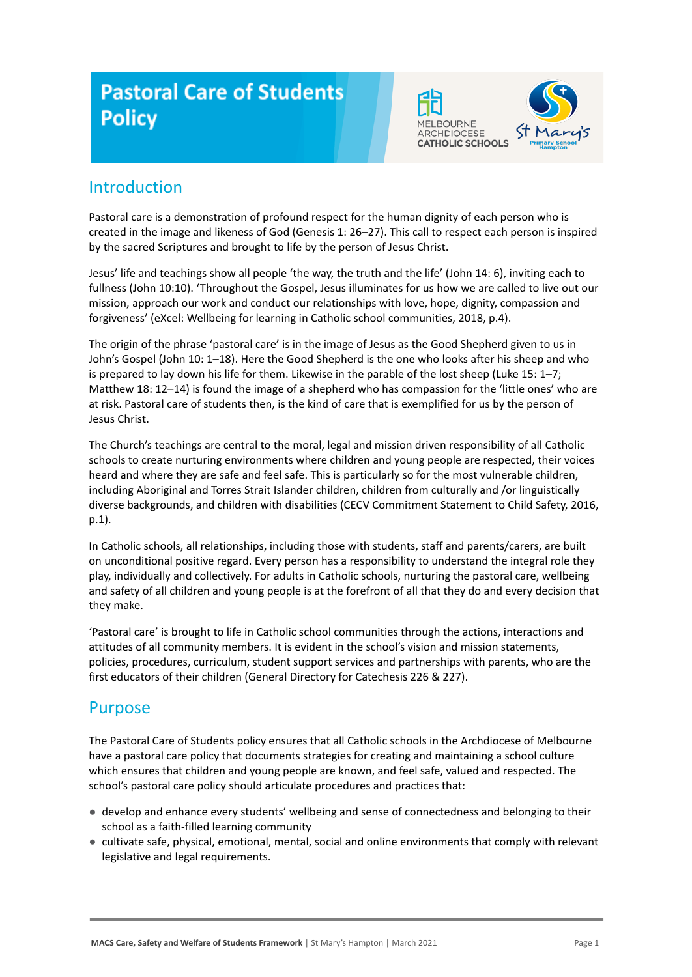# **Pastoral Care of Students Policy**



## Introduction

Pastoral care is a demonstration of profound respect for the human dignity of each person who is created in the image and likeness of God (Genesis 1: 26–27). This call to respect each person is inspired by the sacred Scriptures and brought to life by the person of Jesus Christ.

Jesus' life and teachings show all people 'the way, the truth and the life' (John 14: 6), inviting each to fullness (John 10:10). 'Throughout the Gospel, Jesus illuminates for us how we are called to live out our mission, approach our work and conduct our relationships with love, hope, dignity, compassion and forgiveness' (eXcel: Wellbeing for learning in Catholic school communities, 2018, p.4).

The origin of the phrase 'pastoral care' is in the image of Jesus as the Good Shepherd given to us in John's Gospel (John 10: 1–18). Here the Good Shepherd is the one who looks after his sheep and who is prepared to lay down his life for them. Likewise in the parable of the lost sheep (Luke 15: 1–7; Matthew 18: 12–14) is found the image of a shepherd who has compassion for the 'little ones' who are at risk. Pastoral care of students then, is the kind of care that is exemplified for us by the person of Jesus Christ.

The Church's teachings are central to the moral, legal and mission driven responsibility of all Catholic schools to create nurturing environments where children and young people are respected, their voices heard and where they are safe and feel safe. This is particularly so for the most vulnerable children, including Aboriginal and Torres Strait Islander children, children from culturally and /or linguistically diverse backgrounds, and children with disabilities (CECV Commitment Statement to Child Safety, 2016, p.1).

In Catholic schools, all relationships, including those with students, staff and parents/carers, are built on unconditional positive regard. Every person has a responsibility to understand the integral role they play, individually and collectively. For adults in Catholic schools, nurturing the pastoral care, wellbeing and safety of all children and young people is at the forefront of all that they do and every decision that they make.

'Pastoral care' is brought to life in Catholic school communities through the actions, interactions and attitudes of all community members. It is evident in the school's vision and mission statements, policies, procedures, curriculum, student support services and partnerships with parents, who are the first educators of their children (General Directory for Catechesis 226 & 227).

## Purpose

The Pastoral Care of Students policy ensures that all Catholic schools in the Archdiocese of Melbourne have a pastoral care policy that documents strategies for creating and maintaining a school culture which ensures that children and young people are known, and feel safe, valued and respected. The school's pastoral care policy should articulate procedures and practices that:

- develop and enhance every students' wellbeing and sense of connectedness and belonging to their school as a faith-filled learning community
- cultivate safe, physical, emotional, mental, social and online environments that comply with relevant legislative and legal requirements.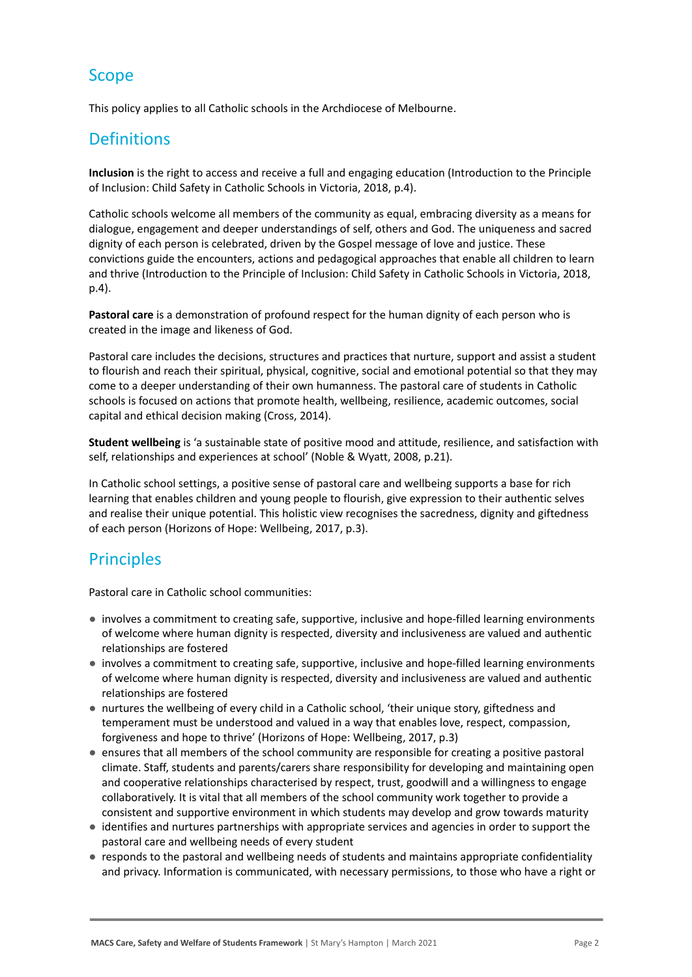# Scope

This policy applies to all Catholic schools in the Archdiocese of Melbourne.

# **Definitions**

**Inclusion** is the right to access and receive a full and engaging education (Introduction to the Principle of Inclusion: Child Safety in Catholic Schools in Victoria, 2018, p.4).

Catholic schools welcome all members of the community as equal, embracing diversity as a means for dialogue, engagement and deeper understandings of self, others and God. The uniqueness and sacred dignity of each person is celebrated, driven by the Gospel message of love and justice. These convictions guide the encounters, actions and pedagogical approaches that enable all children to learn and thrive (Introduction to the Principle of Inclusion: Child Safety in Catholic Schools in Victoria, 2018, p.4).

**Pastoral care** is a demonstration of profound respect for the human dignity of each person who is created in the image and likeness of God.

Pastoral care includes the decisions, structures and practices that nurture, support and assist a student to flourish and reach their spiritual, physical, cognitive, social and emotional potential so that they may come to a deeper understanding of their own humanness. The pastoral care of students in Catholic schools is focused on actions that promote health, wellbeing, resilience, academic outcomes, social capital and ethical decision making (Cross, 2014).

**Student wellbeing** is 'a sustainable state of positive mood and attitude, resilience, and satisfaction with self, relationships and experiences at school' (Noble & Wyatt, 2008, p.21).

In Catholic school settings, a positive sense of pastoral care and wellbeing supports a base for rich learning that enables children and young people to flourish, give expression to their authentic selves and realise their unique potential. This holistic view recognises the sacredness, dignity and giftedness of each person (Horizons of Hope: Wellbeing, 2017, p.3).

# **Principles**

Pastoral care in Catholic school communities:

- involves a commitment to creating safe, supportive, inclusive and hope-filled learning environments of welcome where human dignity is respected, diversity and inclusiveness are valued and authentic relationships are fostered
- involves a commitment to creating safe, supportive, inclusive and hope-filled learning environments of welcome where human dignity is respected, diversity and inclusiveness are valued and authentic relationships are fostered
- nurtures the wellbeing of every child in a Catholic school, 'their unique story, giftedness and temperament must be understood and valued in a way that enables love, respect, compassion, forgiveness and hope to thrive' (Horizons of Hope: Wellbeing, 2017, p.3)
- ensures that all members of the school community are responsible for creating a positive pastoral climate. Staff, students and parents/carers share responsibility for developing and maintaining open and cooperative relationships characterised by respect, trust, goodwill and a willingness to engage collaboratively. It is vital that all members of the school community work together to provide a consistent and supportive environment in which students may develop and grow towards maturity
- identifies and nurtures partnerships with appropriate services and agencies in order to support the pastoral care and wellbeing needs of every student
- responds to the pastoral and wellbeing needs of students and maintains appropriate confidentiality and privacy. Information is communicated, with necessary permissions, to those who have a right or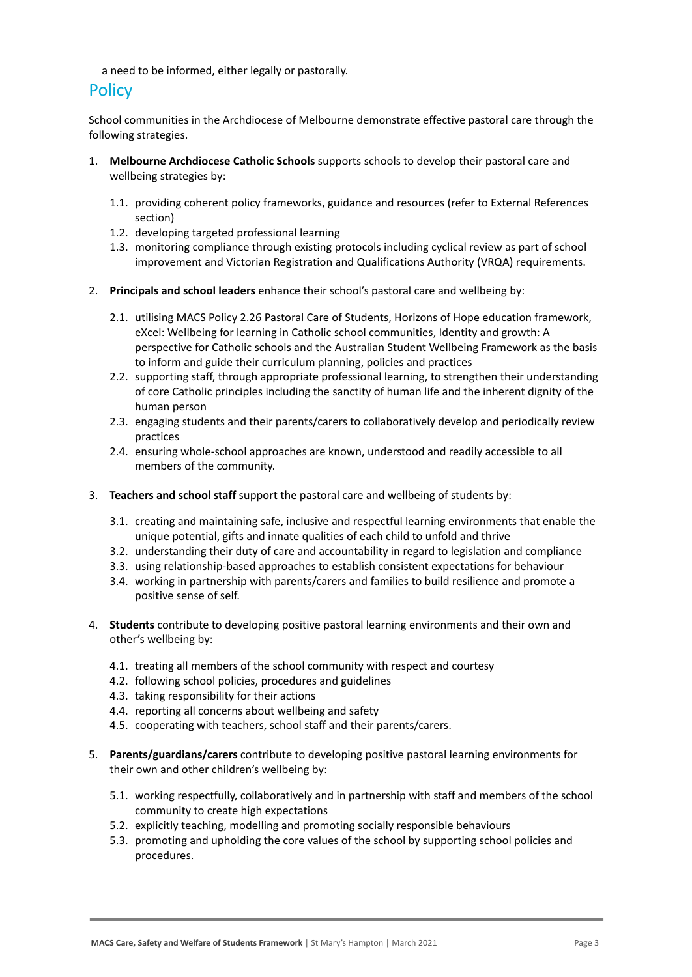a need to be informed, either legally or pastorally.

### **Policy**

School communities in the Archdiocese of Melbourne demonstrate effective pastoral care through the following strategies.

- 1. **Melbourne Archdiocese Catholic Schools** supports schools to develop their pastoral care and wellbeing strategies by:
	- 1.1. providing coherent policy frameworks, guidance and resources (refer to External References section)
	- 1.2. developing targeted professional learning
	- 1.3. monitoring compliance through existing protocols including cyclical review as part of school improvement and Victorian Registration and Qualifications Authority (VRQA) requirements.
- 2. **Principals and school leaders** enhance their school's pastoral care and wellbeing by:
	- 2.1. utilising MACS Policy 2.26 Pastoral Care of Students, Horizons of Hope education framework, eXcel: Wellbeing for learning in Catholic school communities, Identity and growth: A perspective for Catholic schools and the Australian Student Wellbeing Framework as the basis to inform and guide their curriculum planning, policies and practices
	- 2.2. supporting staff, through appropriate professional learning, to strengthen their understanding of core Catholic principles including the sanctity of human life and the inherent dignity of the human person
	- 2.3. engaging students and their parents/carers to collaboratively develop and periodically review practices
	- 2.4. ensuring whole-school approaches are known, understood and readily accessible to all members of the community.
- 3. **Teachers and school staff** support the pastoral care and wellbeing of students by:
	- 3.1. creating and maintaining safe, inclusive and respectful learning environments that enable the unique potential, gifts and innate qualities of each child to unfold and thrive
	- 3.2. understanding their duty of care and accountability in regard to legislation and compliance
	- 3.3. using relationship-based approaches to establish consistent expectations for behaviour
	- 3.4. working in partnership with parents/carers and families to build resilience and promote a positive sense of self.
- 4. **Students** contribute to developing positive pastoral learning environments and their own and other's wellbeing by:
	- 4.1. treating all members of the school community with respect and courtesy
	- 4.2. following school policies, procedures and guidelines
	- 4.3. taking responsibility for their actions
	- 4.4. reporting all concerns about wellbeing and safety
	- 4.5. cooperating with teachers, school staff and their parents/carers.
- 5. **Parents/guardians/carers** contribute to developing positive pastoral learning environments for their own and other children's wellbeing by:
	- 5.1. working respectfully, collaboratively and in partnership with staff and members of the school community to create high expectations
	- 5.2. explicitly teaching, modelling and promoting socially responsible behaviours
	- 5.3. promoting and upholding the core values of the school by supporting school policies and procedures.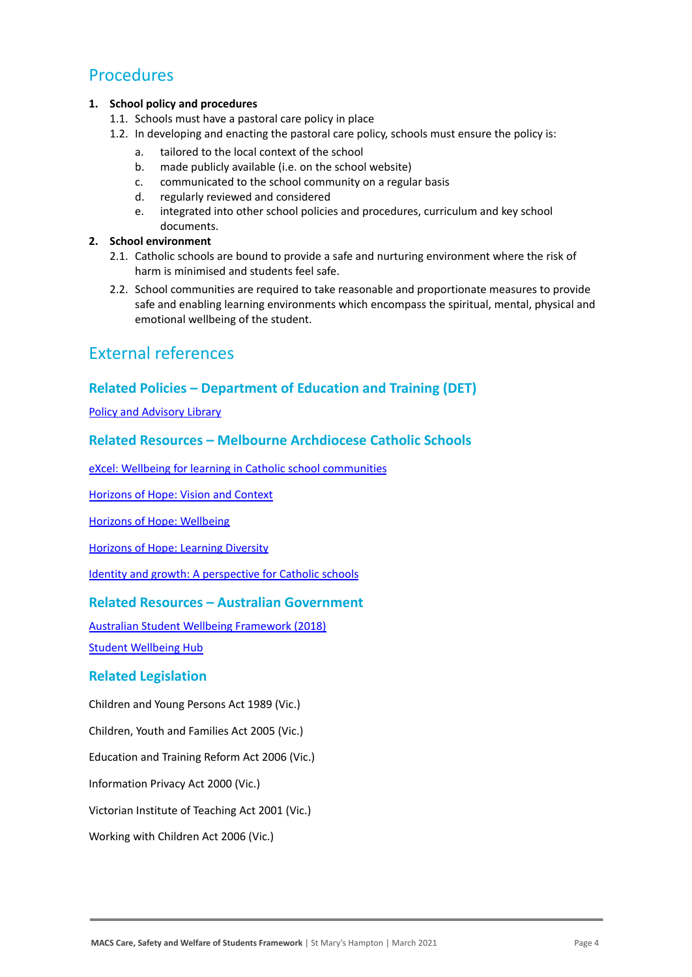### Procedures

#### **1. School policy and procedures**

- 1.1. Schools must have a pastoral care policy in place
- 1.2. In developing and enacting the pastoral care policy, schools must ensure the policy is:
	- a. tailored to the local context of the school
	- b. made publicly available (i.e. on the school website)
	- c. communicated to the school community on a regular basis
	- d. regularly reviewed and considered
	- e. integrated into other school policies and procedures, curriculum and key school documents.

#### **2. School environment**

- 2.1. Catholic schools are bound to provide a safe and nurturing environment where the risk of harm is minimised and students feel safe.
- 2.2. School communities are required to take reasonable and proportionate measures to provide safe and enabling learning environments which encompass the spiritual, mental, physical and emotional wellbeing of the student.

## External references

### **Related Policies – Department of Education and Training (DET)**

[Policy and Advisory Library](https://www2.education.vic.gov.au/pal)

### **Related Resources – Melbourne Archdiocese Catholic Schools**

[eXcel: Wellbeing for learning in Catholic school communities](https://www.cem.edu.au/Our-Schools/Curriculum-Learning-Programs/Student-Wellbeing/eXcel.aspx)

[Horizons of Hope: Vision and Context](https://www.cem.edu.au/Our-Schools/Curriculum-Learning-Programs/Horizons-of-Hope/Vision-Context.aspx)

[Horizons of Hope: Wellbeing](https://www.cem.edu.au/Our-Schools/Curriculum-Learning-Programs/Student-Wellbeing.aspx)

[Horizons of Hope: Learning Diversity](https://www.cem.edu.au/Our-Schools/Curriculum-Learning-Programs/Horizons-of-Hope/Learning-Diversity.aspx)

[Identity and growth: A perspective for Catholic schools](https://cevn.cecv.catholic.edu.au/Melb/CI/Identity-Growth)

### **Related Resources – Australian Government**

[Australian Student Wellbeing Framework \(2018\)](https://www.studentwellbeinghub.edu.au/docs/default-source/aswf_booklet-pdf.pdf)

[Student Wellbeing Hub](https://www.studentwellbeinghub.edu.au/)

#### **Related Legislation**

Children and Young Persons Act 1989 (Vic.)

Children, Youth and Families Act 2005 (Vic.)

Education and Training Reform Act 2006 (Vic.)

Information Privacy Act 2000 (Vic.)

Victorian Institute of Teaching Act 2001 (Vic.)

Working with Children Act 2006 (Vic.)